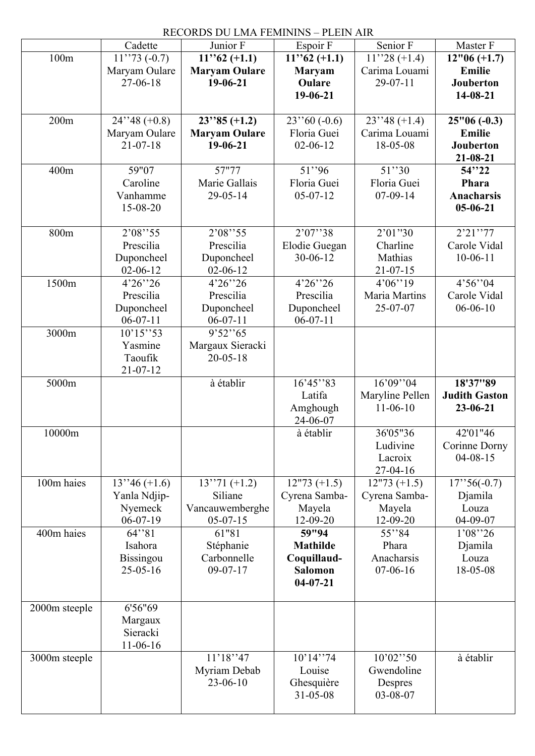|               |                            | RECORDS DU LMA FEMININS – PLEIN AIR |                          |                                 |                      |
|---------------|----------------------------|-------------------------------------|--------------------------|---------------------------------|----------------------|
|               | Cadette                    | Junior F                            | Espoir F                 | Senior F                        | Master F             |
| 100m          | $11''73(-0.7)$             | $11$ ''62 (+1.1)                    | $11$ ''62 (+1.1)         | $11''28 (+1.4)$                 | $12"06 (+1.7)$       |
|               | Maryam Oulare              | <b>Maryam Oulare</b>                | <b>Maryam</b>            | Carima Louami                   | Emilie               |
|               | 27-06-18                   | $19-06-21$                          | Oulare                   | $29-07-11$                      | Jouberton            |
|               |                            |                                     | 19-06-21                 |                                 | 14-08-21             |
| 200m          | $24''38 (+0.8)$            | $23''85 (+1.2)$                     | $23''60(-0.6)$           | $23''48 (+1.4)$                 | $25"06(-0.3)$        |
|               | Maryam Oulare              | <b>Maryam Oulare</b>                | Floria Guei              | Carima Louami                   | <b>Emilie</b>        |
|               | $21 - 07 - 18$             | $19-06-21$                          | $02 - 06 - 12$           | 18-05-08                        | Jouberton            |
|               |                            |                                     |                          |                                 | $21 - 08 - 21$       |
| 400m          | 59"07                      | 57"77                               | 51"96                    | 51''30                          | 54''22               |
|               | Caroline                   | Marie Gallais                       | Floria Guei              | Floria Guei                     | Phara                |
|               | Vanhamme                   | $29 - 05 - 14$                      | $05-07-12$               | $07-09-14$                      | <b>Anacharsis</b>    |
|               | 15-08-20                   |                                     |                          |                                 | $05 - 06 - 21$       |
|               | 2'08''55                   | 2'08''55                            | 2'07''38                 | 2'01''30                        | 2'21''77             |
| 800m          | Prescilia                  | Prescilia                           |                          |                                 | Carole Vidal         |
|               |                            |                                     | Elodie Guegan            | Charline<br>Mathias             |                      |
|               | Duponcheel                 | Duponcheel<br>$02 - 06 - 12$        | $30 - 06 - 12$           |                                 | $10-06-11$           |
| 1500m         | $02 - 06 - 12$<br>4'26''26 | 4'26''26                            | 4'26''26                 | 21-07-15<br>4'06''19            | 4'56''04             |
|               | Prescilia                  | Prescilia                           | Prescilia                | Maria Martins                   | Carole Vidal         |
|               |                            |                                     |                          | 25-07-07                        | $06 - 06 - 10$       |
|               | Duponcheel<br>$06-07-11$   | Duponcheel<br>$06-07-11$            | Duponcheel<br>$06-07-11$ |                                 |                      |
| 3000m         | 10'15''53                  | 9'52''65                            |                          |                                 |                      |
|               | Yasmine                    | Margaux Sieracki                    |                          |                                 |                      |
|               | Taoufik                    | $20 - 05 - 18$                      |                          |                                 |                      |
|               | $21 - 07 - 12$             |                                     |                          |                                 |                      |
| 5000m         |                            | à établir                           | 16'45''83                | 16'09''04                       | 18'37"89             |
|               |                            |                                     | Latifa                   | Maryline Pellen                 | <b>Judith Gaston</b> |
|               |                            |                                     | Amghough                 | $11-06-10$                      |                      |
|               |                            |                                     |                          |                                 |                      |
|               |                            |                                     | 24-06-07                 |                                 | 23-06-21             |
| 10000m        |                            |                                     | à établir                | 36'05"36                        | 42'01"46             |
|               |                            |                                     |                          | Ludivine                        | Corinne Dorny        |
|               |                            |                                     |                          | Lacroix                         | $04 - 08 - 15$       |
|               |                            |                                     |                          | 27-04-16                        |                      |
| 100m haies    | $13''46 (+1.6)$            | $13''71 (+1.2)$                     | $12"73 (+1.5)$           |                                 | $17$ '' 56(-0.7)     |
|               | Yanla Ndjip-               | Siliane                             | Cyrena Samba-            | $12"73 (+1.5)$<br>Cyrena Samba- | Djamila              |
|               | Nyemeck                    | Vancauwemberghe                     | Mayela                   | Mayela                          | Louza                |
|               | $06-07-19$                 | $05-07-15$                          | 12-09-20                 | 12-09-20                        | 04-09-07             |
| 400m haies    | 64''81                     | 61"81                               | 59"94                    | 55''84                          | 1'08''26             |
|               | Isahora                    | Stéphanie                           | <b>Mathilde</b>          | Phara                           | Djamila              |
|               | <b>Bissingou</b>           | Carbonnelle                         | Coquillaud-              | Anacharsis                      | Louza                |
|               | $25 - 05 - 16$             | $09-07-17$                          | <b>Salomon</b>           | $07-06-16$                      | 18-05-08             |
|               |                            |                                     | $04 - 07 - 21$           |                                 |                      |
|               |                            |                                     |                          |                                 |                      |
| 2000m steeple | 6'56"69                    |                                     |                          |                                 |                      |
|               | Margaux                    |                                     |                          |                                 |                      |
|               | Sieracki                   |                                     |                          |                                 |                      |
|               | $11-06-16$                 |                                     |                          |                                 |                      |
| 3000m steeple |                            | 11'18''47                           | 10'14''74                | 10'02''50                       | à établir            |
|               |                            | Myriam Debab                        | Louise                   | Gwendoline                      |                      |
|               |                            | $23 - 06 - 10$                      | Ghesquière<br>31-05-08   | Despres<br>03-08-07             |                      |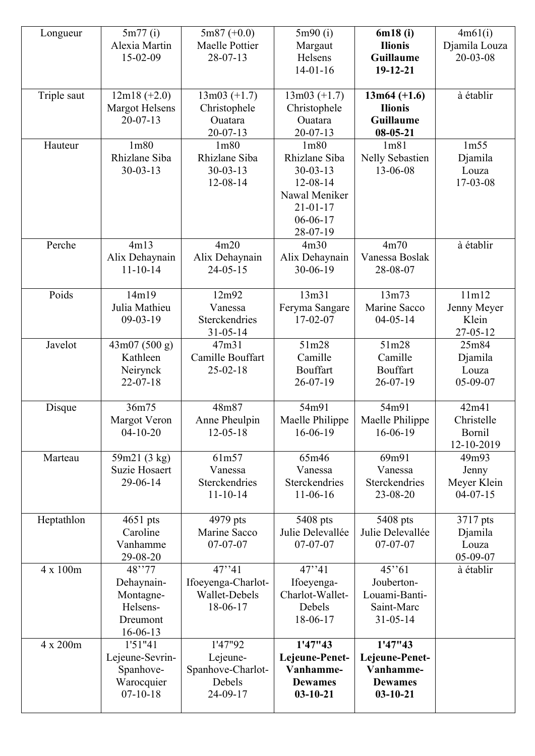| Longueur    | 5m77(i)<br>Alexia Martin<br>15-02-09                                    | $5m87 (+0.0)$<br>Maelle Pottier<br>$28-07-13$                           | 5m90(i)<br>Margaut<br>Helsens<br>$14-01-16$                                                                                      | 6m18(i)<br><b>Ilionis</b><br><b>Guillaume</b><br>19-12-21                   | 4m61(i)<br>Djamila Louza<br>$20 - 03 - 08$  |
|-------------|-------------------------------------------------------------------------|-------------------------------------------------------------------------|----------------------------------------------------------------------------------------------------------------------------------|-----------------------------------------------------------------------------|---------------------------------------------|
| Triple saut | $12m18 (+2.0)$<br>Margot Helsens<br>$20 - 07 - 13$                      | $13m03 (+1.7)$<br>Christophele<br>Ouatara<br>$20 - 07 - 13$             | $13m03 (+1.7)$<br>Christophele<br>Ouatara<br>$20 - 07 - 13$                                                                      | $13m64 (+1.6)$<br><b>Ilionis</b><br><b>Guillaume</b><br>$08 - 05 - 21$      | à établir                                   |
| Hauteur     | 1 <sub>m</sub> 80<br>Rhizlane Siba<br>$30 - 03 - 13$                    | 1 <sub>m80</sub><br>Rhizlane Siba<br>$30 - 03 - 13$<br>12-08-14         | 1 <sub>m80</sub><br>Rhizlane Siba<br>$30 - 03 - 13$<br>12-08-14<br>Nawal Meniker<br>$21 - 01 - 17$<br>$06 - 06 - 17$<br>28-07-19 | 1m81<br>Nelly Sebastien<br>13-06-08                                         | 1m55<br>Djamila<br>Louza<br>17-03-08        |
| Perche      | 4m13<br>Alix Dehaynain<br>$11 - 10 - 14$                                | 4m20<br>Alix Dehaynain<br>$24 - 05 - 15$                                | 4m30<br>Alix Dehaynain<br>30-06-19                                                                                               | 4m70<br>Vanessa Boslak<br>28-08-07                                          | à établir                                   |
| Poids       | 14m19<br>Julia Mathieu<br>$09-03-19$                                    | 12m92<br>Vanessa<br>Sterckendries<br>$31 - 05 - 14$                     | 13m31<br>Feryma Sangare<br>$17-02-07$                                                                                            | 13m73<br>Marine Sacco<br>$04 - 05 - 14$                                     | 11m12<br>Jenny Meyer<br>Klein<br>27-05-12   |
| Javelot     | 43m07 (500 g)<br>Kathleen<br>Neirynck<br>$22 - 07 - 18$                 | 47m31<br>Camille Bouffart<br>$25 - 02 - 18$                             | 51m28<br>Camille<br>Bouffart<br>$26 - 07 - 19$                                                                                   | 51m28<br>Camille<br><b>Bouffart</b><br>$26 - 07 - 19$                       | 25m84<br>Djamila<br>Louza<br>05-09-07       |
| Disque      | 36m75<br><b>Margot Veron</b><br>$04 - 10 - 20$                          | 48m87<br>Anne Pheulpin<br>$12 - 05 - 18$                                | 54m91<br>Maelle Philippe<br>16-06-19                                                                                             | 54m91<br>Maelle Philippe<br>16-06-19                                        | 42m41<br>Christelle<br>Bornil<br>12-10-2019 |
| Marteau     | 59m21 (3 kg)<br><b>Suzie Hosaert</b><br>29-06-14                        | 61m57<br>Vanessa<br>Sterckendries<br>$11 - 10 - 14$                     | 65m46<br>Vanessa<br>Sterckendries<br>$11-06-16$                                                                                  | 69m91<br>Vanessa<br>Sterckendries<br>23-08-20                               | 49m93<br>Jenny<br>Meyer Klein<br>$04-07-15$ |
| Heptathlon  | $4651$ pts<br>Caroline<br>Vanhamme<br>29-08-20                          | 4979 pts<br>Marine Sacco<br>$07-07-07$                                  | 5408 pts<br>Julie Delevallée<br>$07-07-07$                                                                                       | 5408 pts<br>Julie Delevallée<br>$07 - 07 - 07$                              | 3717 pts<br>Djamila<br>Louza<br>05-09-07    |
| 4 x 100m    | 48"77<br>Dehaynain-<br>Montagne-<br>Helsens-<br>Dreumont<br>$16-06-13$  | $\overline{47}$ * 41<br>Ifoeyenga-Charlot-<br>Wallet-Debels<br>18-06-17 | 47'''41<br>Ifoeyenga-<br>Charlot-Wallet-<br>Debels<br>18-06-17                                                                   | 45"61<br>Jouberton-<br>Louami-Banti-<br>Saint-Marc<br>$31 - 05 - 14$        | à établir                                   |
| 4 x 200m    | 1'51"41<br>Lejeune-Sevrin-<br>Spanhove-<br>Warocquier<br>$07 - 10 - 18$ | 1'47"92<br>Lejeune-<br>Spanhove-Charlot-<br>Debels<br>24-09-17          | 1'47''43<br>Lejeune-Penet-<br>Vanhamme-<br><b>Dewames</b><br>$03 - 10 - 21$                                                      | 1'47''43<br>Lejeune-Penet-<br>Vanhamme-<br><b>Dewames</b><br>$03 - 10 - 21$ |                                             |